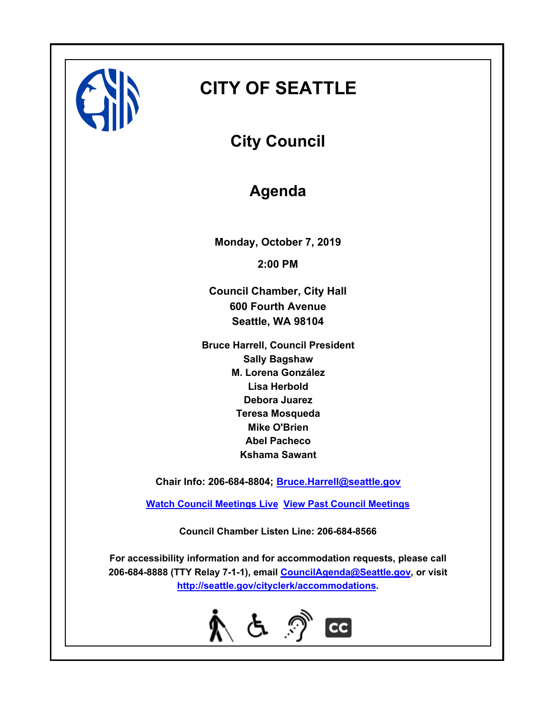

# **CITY OF SEATTLE**

**City Council**

## **Agenda**

**Monday, October 7, 2019 2:00 PM**

**Council Chamber, City Hall 600 Fourth Avenue Seattle, WA 98104**

**Bruce Harrell, Council President Sally Bagshaw M. Lorena González Lisa Herbold Debora Juarez Teresa Mosqueda Mike O'Brien Abel Pacheco Kshama Sawant**

**Chair Info: 206-684-8804; [Bruce.Harrell@seattle.gov](mailto:Bruce.Harrell@seattle.gov)**

**[Watch Council Meetings Live](http://www.seattle.gov/council/councillive.htm) [View Past Council Meetings](http://www.seattlechannel.org/videos/browseVideos.asp?topic=council)**

**Council Chamber Listen Line: 206-684-8566**

**For accessibility information and for accommodation requests, please call 206-684-8888 (TTY Relay 7-1-1), email [CouncilAgenda@Seattle.gov](mailto: Council.Agenda@Seattle.gov), or visit <http://seattle.gov/cityclerk/accommodations>.**

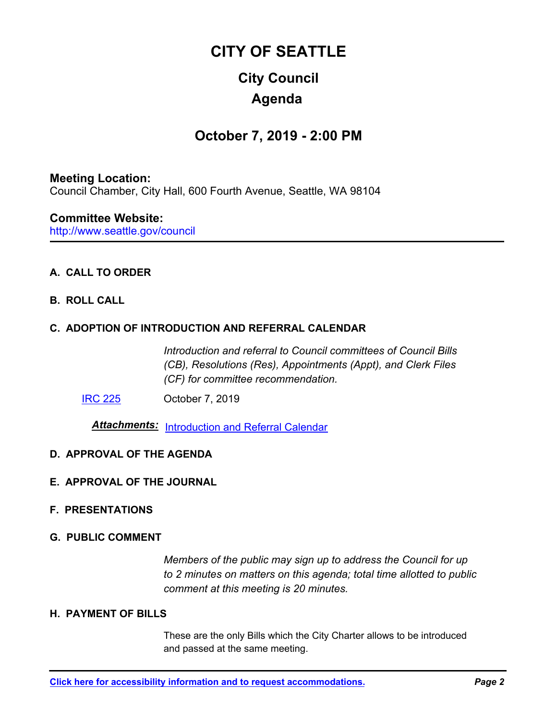# **City Council CITY OF SEATTLE Agenda**

### **October 7, 2019 - 2:00 PM**

#### **Meeting Location:**

Council Chamber, City Hall, 600 Fourth Avenue, Seattle, WA 98104

#### **Committee Website:**

http://www.seattle.gov/council

#### **A. CALL TO ORDER**

**B. ROLL CALL**

#### **C. ADOPTION OF INTRODUCTION AND REFERRAL CALENDAR**

*Introduction and referral to Council committees of Council Bills (CB), Resolutions (Res), Appointments (Appt), and Clerk Files (CF) for committee recommendation.*

[IRC 225](http://seattle.legistar.com/gateway.aspx?m=l&id=/matter.aspx?key=9233) October 7, 2019

*Attachments:* [Introduction and Referral Calendar](http://seattle.legistar.com/gateway.aspx?M=F&ID=0bdaecea-8303-47db-a957-8b46719f7291.pdf)

#### **D. APPROVAL OF THE AGENDA**

**E. APPROVAL OF THE JOURNAL**

#### **F. PRESENTATIONS**

#### **G. PUBLIC COMMENT**

*Members of the public may sign up to address the Council for up to 2 minutes on matters on this agenda; total time allotted to public comment at this meeting is 20 minutes.*

#### **H. PAYMENT OF BILLS**

These are the only Bills which the City Charter allows to be introduced and passed at the same meeting.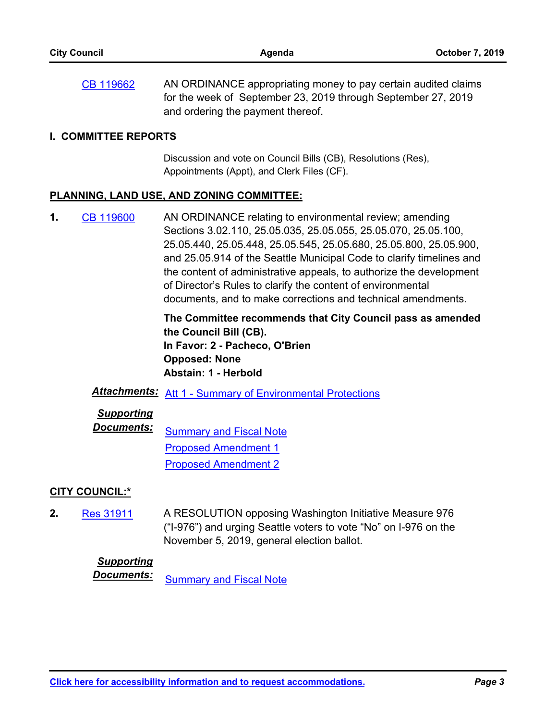AN ORDINANCE appropriating money to pay certain audited claims for the week of September 23, 2019 through September 27, 2019 and ordering the payment thereof. [CB 119662](http://seattle.legistar.com/gateway.aspx?m=l&id=/matter.aspx?key=9216)

#### **I. COMMITTEE REPORTS**

Discussion and vote on Council Bills (CB), Resolutions (Res), Appointments (Appt), and Clerk Files (CF).

#### **PLANNING, LAND USE, AND ZONING COMMITTEE:**

AN ORDINANCE relating to environmental review; amending Sections 3.02.110, 25.05.035, 25.05.055, 25.05.070, 25.05.100, 25.05.440, 25.05.448, 25.05.545, 25.05.680, 25.05.800, 25.05.900, and 25.05.914 of the Seattle Municipal Code to clarify timelines and the content of administrative appeals, to authorize the development of Director's Rules to clarify the content of environmental documents, and to make corrections and technical amendments. **1.** [CB 119600](http://seattle.legistar.com/gateway.aspx?m=l&id=/matter.aspx?key=8942)

> **The Committee recommends that City Council pass as amended the Council Bill (CB). In Favor: 2 - Pacheco, O'Brien Opposed: None Abstain: 1 - Herbold**

## *Attachments:* [Att 1 - Summary of Environmental Protections](http://seattle.legistar.com/gateway.aspx?M=F&ID=8c7bfc92-7fa5-44a1-b8a2-aa93a6a6f601.docx)

#### *Supporting*

*Documents:* [Summary and Fiscal Note](http://seattle.legistar.com/gateway.aspx?M=F&ID=1b320363-2b31-4715-b403-f8997815ef1e.docx) [Proposed Amendment 1](http://seattle.legistar.com/gateway.aspx?M=F&ID=ca09e3f9-f66e-43c4-bfa5-6aedc8ad3d57.docx) [Proposed Amendment 2](http://seattle.legistar.com/gateway.aspx?M=F&ID=4fdd1bcc-6a6c-43b0-9ccf-dbdddd261379.docx)

#### **CITY COUNCIL:\***

A RESOLUTION opposing Washington Initiative Measure 976 ("I-976") and urging Seattle voters to vote "No" on I-976 on the November 5, 2019, general election ballot. **2.** [Res 31911](http://seattle.legistar.com/gateway.aspx?m=l&id=/matter.aspx?key=9203)

#### *Supporting*

**Documents:** [Summary and Fiscal Note](http://seattle.legistar.com/gateway.aspx?M=F&ID=a7ff5371-df6a-4d5d-91e2-1dbe2616a8cf.docx)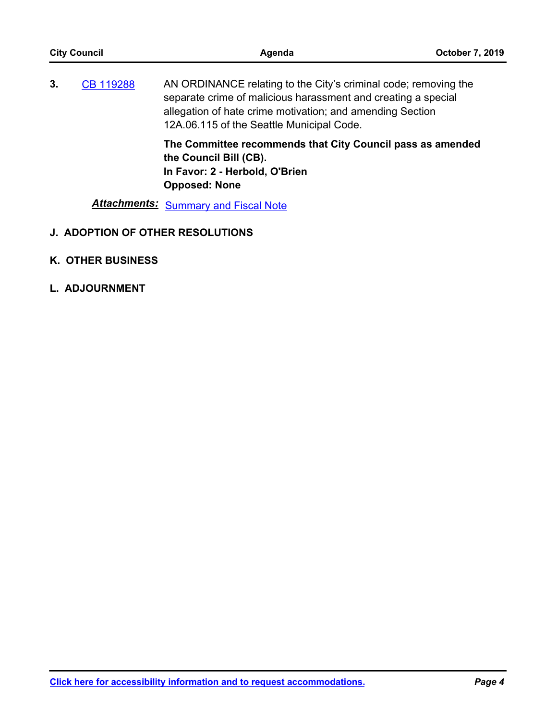| <b>City Council</b> |  | Agenda                                                                                                                                                                                                                                     | <b>October 7, 2019</b> |
|---------------------|--|--------------------------------------------------------------------------------------------------------------------------------------------------------------------------------------------------------------------------------------------|------------------------|
| 3.<br>CB 119288     |  | AN ORDINANCE relating to the City's criminal code; removing the<br>separate crime of malicious harassment and creating a special<br>allegation of hate crime motivation; and amending Section<br>12A.06.115 of the Seattle Municipal Code. |                        |
|                     |  | The Committee recommends that City Council pass as amended<br>the Council Bill (CB).<br>In Favor: 2 - Herbold, O'Brien<br><b>Opposed: None</b>                                                                                             |                        |
|                     |  | <b>Attachments:</b> Summary and Fiscal Note                                                                                                                                                                                                |                        |

- **J. ADOPTION OF OTHER RESOLUTIONS**
- **K. OTHER BUSINESS**
- **L. ADJOURNMENT**